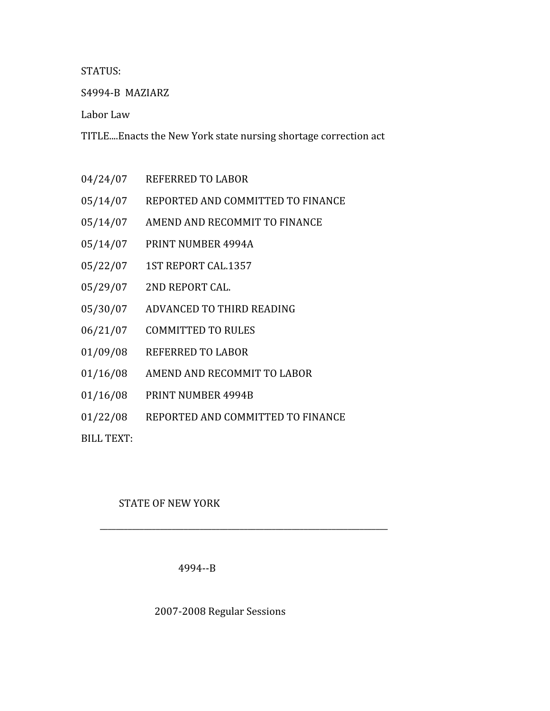# STATUS:

S4994‐B

MAZIARZ

Labor
Law

TITLE....Enacts
the
New
York
state
nursing
shortage
correction
act

- 04/24/07 REFERRED
TO
LABOR
- 05/14/07 REPORTED
AND
COMMITTED
TO
FINANCE
- 05/14/07 AMEND
AND
RECOMMIT
TO
FINANCE
- 05/14/07 PRINT
NUMBER
4994A
- 05/22/07 1ST
REPORT
CAL.1357
- 05/29/07 2ND
REPORT
CAL.
- 05/30/07 ADVANCED
TO
THIRD
READING
- 06/21/07 COMMITTED
TO
RULES
- 01/09/08 REFERRED
TO
LABOR
- 01/16/08 AMEND
AND
RECOMMIT
TO
LABOR
- 01/16/08 PRINT
NUMBER
4994B
- 01/22/08 REPORTED
AND
COMMITTED
TO
FINANCE

BILL
TEXT:

# STATE
OF
NEW
YORK

4994‐‐B

# 2007‐2008
Regular
Sessions

\_\_\_\_\_\_\_\_\_\_\_\_\_\_\_\_\_\_\_\_\_\_\_\_\_\_\_\_\_\_\_\_\_\_\_\_\_\_\_\_\_\_\_\_\_\_\_\_\_\_\_\_\_\_\_\_\_\_\_\_\_\_\_\_\_\_\_\_\_\_\_\_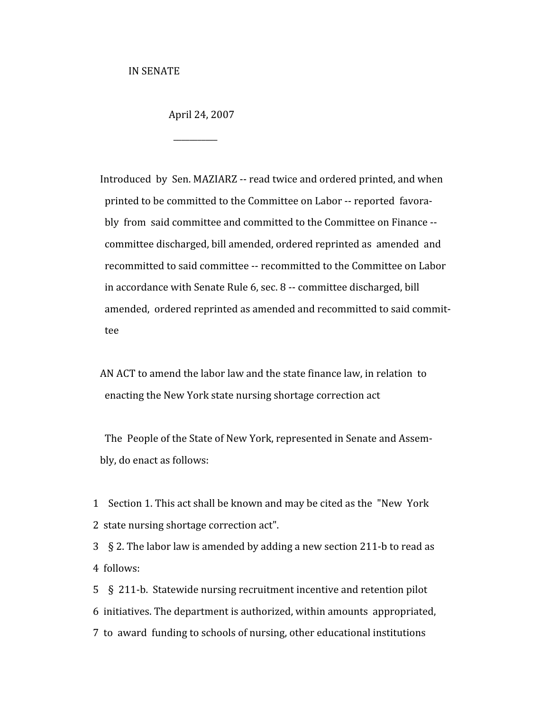IN
SENATE

 $\overline{\phantom{a}}$ 

April
24,
2007

Introduced by Sen. MAZIARZ -- read twice and ordered printed, and when printed to be committed to the Committee on Labor -- reported favorably from said committee and committed to the Committee on Finance --committee
discharged,
bill
amended,
ordered
reprinted
as

amended

and recommitted to said committee -- recommitted to the Committee on Labor in
accordance
with
Senate
Rule
6,
sec.
8
‐‐
committee
discharged,
bill amended, ordered reprinted as amended and recommitted to said commit-tee

AN
ACT
to
amend
the
labor
law
and
the
state
finance
law,
in
relation

to enacting
the
New
York
state
nursing
shortage
correction
act

The People of the State of New York, represented in Senate and Assem-bly,
do
enact
as
follows:

1 Section 1. This act shall be known and may be cited as the "New York" 2

state
nursing
shortage
correction
act".

3 § 2. The labor law is amended by adding a new section 211-b to read as 4

follows:

5 § 211-b. Statewide nursing recruitment incentive and retention pilot 6

initiatives.
The
department
is
authorized,
within
amounts

appropriated, 7

to

award

funding
to
schools
of
nursing,
other
educational
institutions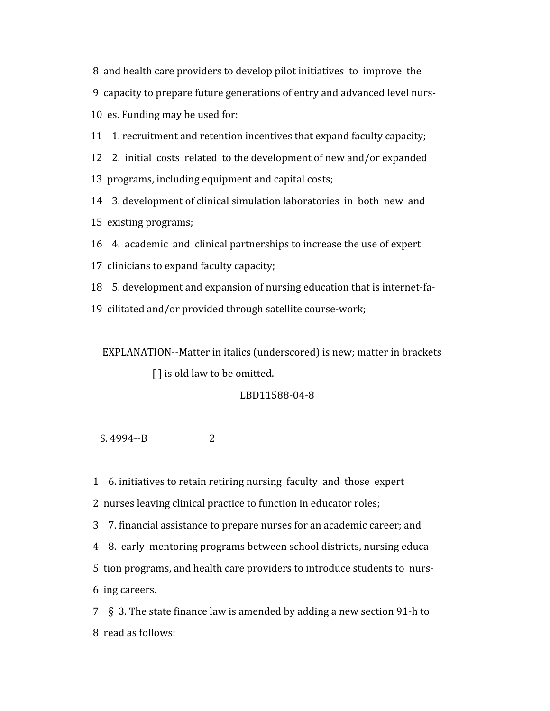8 and health care providers to develop pilot initiatives to improve the 9

capacity
to
prepare
future
generations
of
entry
and
advanced
level
nurs‐ 10

es.
Funding
may
be
used
for:

11

1.
recruitment
and
retention
incentives
that
expand
faculty
capacity;

12 2. initial costs related to the development of new and/or expanded

13

programs,
including
equipment
and
capital
costs;

14

3.
development
of
clinical
simulation
laboratories

in

both

new

and 15

existing
programs;

16

4.

academic

and

clinical
partnerships
to
increase
the
use
of
expert

17

clinicians
to
expand
faculty
capacity;

18

5.
development
and
expansion
of
nursing
education
that
is
internet‐fa‐

19

cilitated
and/or
provided
through
satellite
course‐work;

EXPLANATION--Matter in italics (underscored) is new; matter in brackets [] is old law to be omitted.

# LBD11588‐04‐8

 $S. 4994 - B$  2

1

6.
initiatives
to
retain
retiring
nursing

faculty

and

those

expert

2 nurses leaving clinical practice to function in educator roles;

3

7.
financial
assistance
to
prepare
nurses
for
an
academic
career;
and

4

8.

early

mentoring
programs
between
school
districts,
nursing
educa‐ 5 tion programs, and health care providers to introduce students to nurs-6

ing
careers.

7

§

3.
The
state
finance
law
is
amended
by
adding
a
new
section
91‐h
to 8

read
as
follows: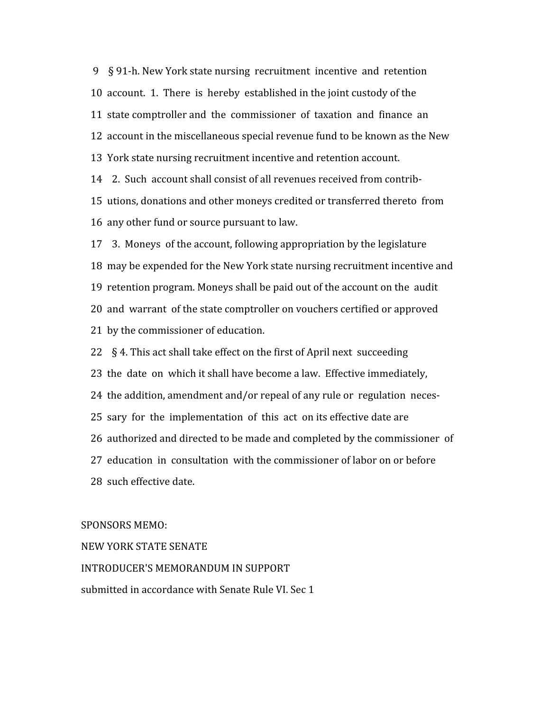9

§
91‐h.
New
York
state
nursing

recruitment

incentive

and

retention 10 account. 1. There is hereby established in the joint custody of the 11 state comptroller and the commissioner of taxation and finance an 12 account in the miscellaneous special revenue fund to be known as the New 13

York
state
nursing
recruitment
incentive
and
retention
account. 14 2. Such account shall consist of all revenues received from contrib-

15

utions,
donations
and
other
moneys
credited
or
transferred
thereto

from 16

any
other
fund
or
source
pursuant
to
law.

17

3.

Moneys

of
the
account,
following
appropriation
by
the
legislature 18

may
be
expended
for
the
New
York
state
nursing
recruitment
incentive
and 19

retention
program.
Moneys
shall
be
paid
out
of
the
account
on
the

audit 20 and warrant of the state comptroller on vouchers certified or approved 21

by
the
commissioner
of
education.

22 § 4. This act shall take effect on the first of April next succeeding 23

the

date

on

which
it
shall
have
become
a
law.

Effective
immediately, 24 the addition, amendment and/or repeal of any rule or regulation neces-25 sary for the implementation of this act on its effective date are 26 authorized and directed to be made and completed by the commissioner of 27

education

in

consultation

with
the
commissioner
of
labor
on
or
before 28

such
effective
date.

## SPONSORS
MEMO:

NEW
YORK
STATE
SENATE

INTRODUCER'S
MEMORANDUM
IN
SUPPORT submitted
in
accordance
with
Senate
Rule
VI.
Sec
1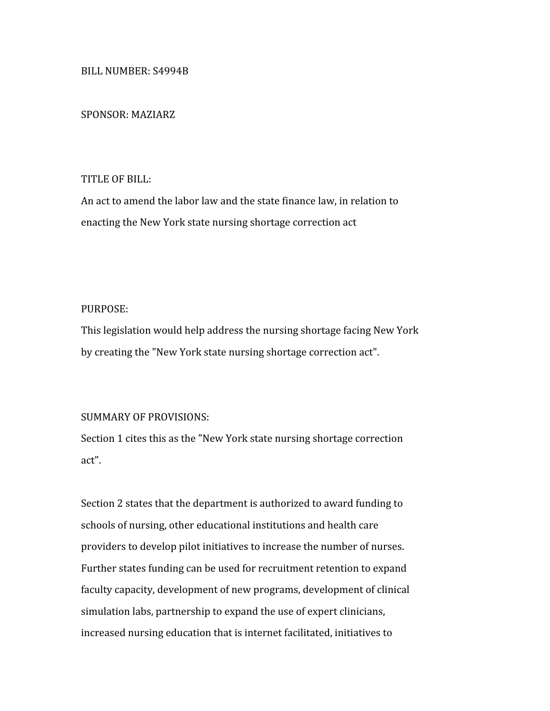### BILL
NUMBER:
S4994B

#### SPONSOR:
MAZIARZ

## TITLE
OF
BILL:

An
act
to
amend
the
labor
law
and
the
state
finance
law,
in
relation
to enacting
the
New
York
state
nursing
shortage
correction
act

## PURPOSE:

This
legislation
would
help
address
the
nursing
shortage
facing
New
York by
creating
the
"New
York
state
nursing
shortage
correction
act".

## SUMMARY
OF
PROVISIONS:

Section 1 cites this as the "New York state nursing shortage correction act".

Section 2 states that the department is authorized to award funding to schools
of
nursing,
other
educational
institutions
and
health
care providers
to
develop
pilot
initiatives
to
increase
the
number
of
nurses. Further states funding can be used for recruitment retention to expand faculty capacity, development of new programs, development of clinical simulation labs, partnership to expand the use of expert clinicians, increased nursing education that is internet facilitated, initiatives to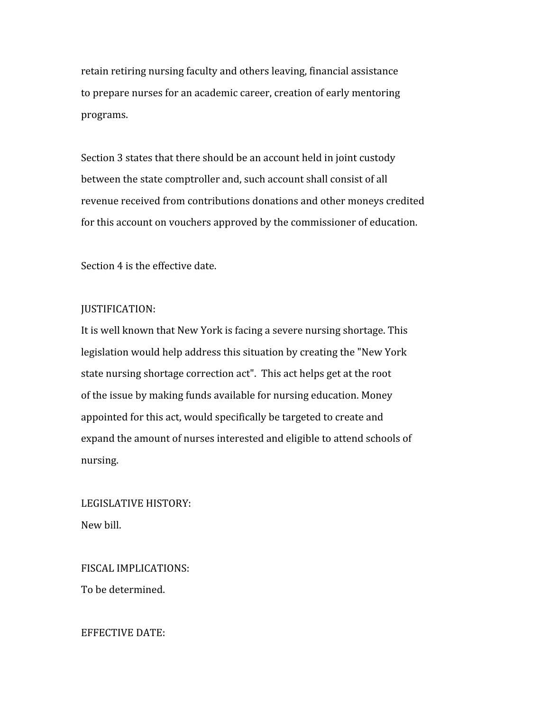retain
retiring
nursing
faculty
and
others
leaving,
financial
assistance to
prepare
nurses
for
an
academic
career,
creation
of
early
mentoring programs.

Section 3 states that there should be an account held in joint custody between the state comptroller and, such account shall consist of all revenue
received
from
contributions
donations
and
other
moneys
credited for
this
account
on
vouchers
approved
by
the
commissioner
of
education.

Section
4
is
the
effective
date.

#### JUSTIFICATION:

It is well known that New York is facing a severe nursing shortage. This legislation
would
help
address
this
situation
by
creating
the
"New
York state
nursing
shortage
correction
act".

This
act
helps
get
at
the
root of
the
issue
by
making
funds
available
for
nursing
education.
Money appointed for this act, would specifically be targeted to create and expand
the
amount
of
nurses
interested
and
eligible
to
attend
schools
of nursing.

LEGISLATIVE
HISTORY: New
bill.

FISCAL
IMPLICATIONS: To
be
determined.

EFFECTIVE
DATE: